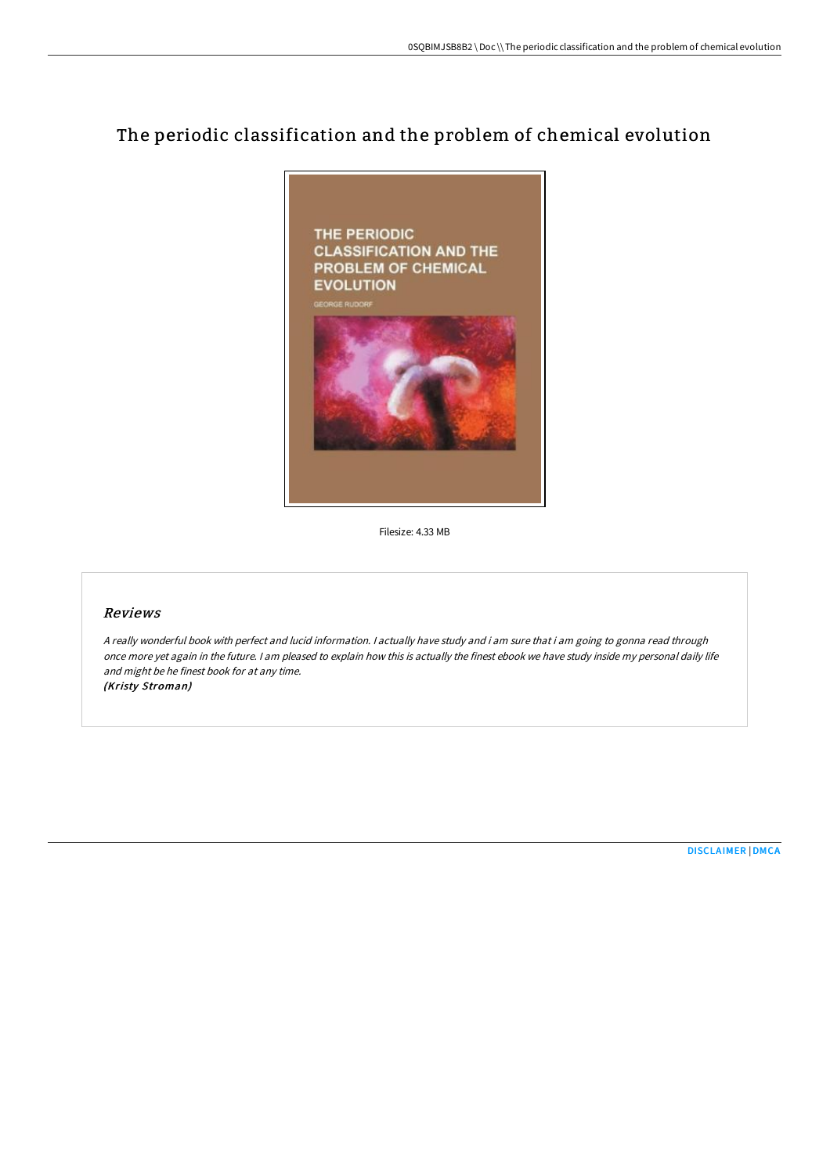# The periodic classification and the problem of chemical evolution



Filesize: 4.33 MB

#### Reviews

<sup>A</sup> really wonderful book with perfect and lucid information. <sup>I</sup> actually have study and i am sure that i am going to gonna read through once more yet again in the future. <sup>I</sup> am pleased to explain how this is actually the finest ebook we have study inside my personal daily life and might be he finest book for at any time. (Kristy Stroman)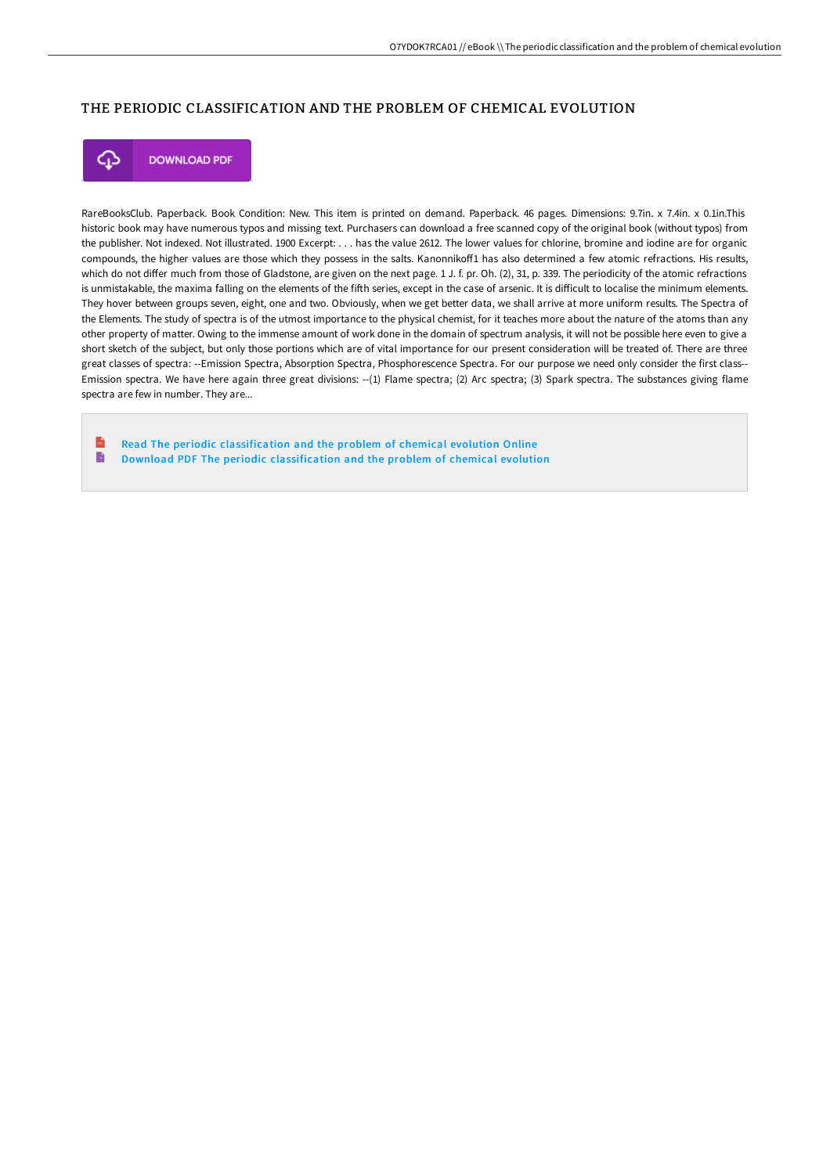#### THE PERIODIC CLASSIFICATION AND THE PROBLEM OF CHEMICAL EVOLUTION



**DOWNLOAD PDF** 

RareBooksClub. Paperback. Book Condition: New. This item is printed on demand. Paperback. 46 pages. Dimensions: 9.7in. x 7.4in. x 0.1in.This historic book may have numerous typos and missing text. Purchasers can download a free scanned copy of the original book (without typos) from the publisher. Not indexed. Not illustrated. 1900 Excerpt: . . . has the value 2612. The lower values for chlorine, bromine and iodine are for organic compounds, the higher values are those which they possess in the salts. Kanonnikoff1 has also determined a few atomic refractions. His results, which do not differ much from those of Gladstone, are given on the next page. 1 J. f. pr. Oh. (2), 31, p. 339. The periodicity of the atomic refractions is unmistakable, the maxima falling on the elements of the fifth series, except in the case of arsenic. It is difficult to localise the minimum elements. They hover between groups seven, eight, one and two. Obviously, when we get better data, we shall arrive at more uniform results. The Spectra of the Elements. The study of spectra is of the utmost importance to the physical chemist, for it teaches more about the nature of the atoms than any other property of matter. Owing to the immense amount of work done in the domain of spectrum analysis, it will not be possible here even to give a short sketch of the subject, but only those portions which are of vital importance for our present consideration will be treated of. There are three great classes of spectra: --Emission Spectra, Absorption Spectra, Phosphorescence Spectra. For our purpose we need only consider the first class-- Emission spectra. We have here again three great divisions: --(1) Flame spectra; (2) Arc spectra; (3) Spark spectra. The substances giving flame spectra are few in number. They are...

 $\mathbf{r}$ Read The periodic [classification](http://albedo.media/the-periodic-classification-and-the-problem-of-c.html) and the problem of chemical evolution Online B Download PDF The periodic [classification](http://albedo.media/the-periodic-classification-and-the-problem-of-c.html) and the problem of chemical evolution